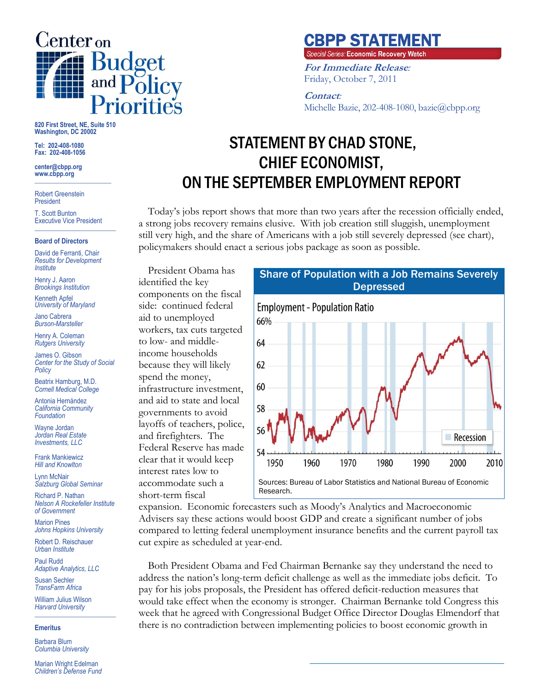

**820 First Street, NE, Suite 510 Washington, DC 20002**

**Tel: 202-408-1080 Fax: 202-408-1056**

**center@cbpp.org www.cbpp.org \_\_\_\_\_\_\_\_\_\_\_\_\_\_\_\_\_\_\_\_\_\_\_\_**

Robert Greenstein President

T. Scott Bunton Executive Vice President **\_\_\_\_\_\_\_\_\_\_\_\_\_\_\_\_\_\_\_\_\_\_\_\_**

#### **Board of Directors**

David de Ferranti, Chair *Results for Development Institute*

Henry J. Aaron *Brookings Institution*

Kenneth Apfel *University of Maryland*

Jano Cabrera *Burson-Marsteller*

Henry A. Coleman *Rutgers University*

James O. Gibson *Center for the Study of Social Policy*

Beatrix Hamburg, M.D. *Cornell Medical College*

Antonia Hernández *California Community Foundation*

Wayne Jordan *Jordan Real Estate Investments, LLC*

Frank Mankiewicz *Hill and Knowlton*

Lynn McNair *Salzburg Global Seminar*

Richard P. Nathan *Nelson A Rockefeller Institute of Government*

Marion Pines *Johns Hopkins University*

Robert D. Reischauer *Urban Institute*

Paul Rudd *Adaptive Analytics, LLC*

Susan Sechler *TransFarm Africa*

William Julius Wilson *Harvard University* **\_\_\_\_\_\_\_\_\_\_\_\_\_\_\_\_\_\_\_\_\_\_\_\_**

#### **Emeritus**

Barbara Blum *Columbia University*

Marian Wright Edelman *Children's Defense Fund*

# **CBPP STATEMENT**<br>Special Series: Economic Recovery Watch

**For Immediate Release***:* Friday, October 7, 2011

### **Contact***:*

Michelle Bazie, 202-408-1080, bazie@cbpp.org

# STATEMENT BY CHAD STONE, CHIEF ECONOMIST, ON THE SEPTEMBER EMPLOYMENT REPORT

Today's jobs report shows that more than two years after the recession officially ended, a strong jobs recovery remains elusive. With job creation still sluggish, unemployment still very high, and the share of Americans with a job still severely depressed (see chart), policymakers should enact a serious jobs package as soon as possible.

President Obama has identified the key components on the fiscal side: continued federal aid to unemployed workers, tax cuts targeted to low- and middleincome households because they will likely spend the money, infrastructure investment, and aid to state and local governments to avoid layoffs of teachers, police, and firefighters. The Federal Reserve has made clear that it would keep interest rates low to accommodate such a short-term fiscal



**\_\_\_\_\_\_\_\_\_\_\_\_\_\_\_\_\_\_\_\_\_\_\_\_\_\_\_\_\_\_\_\_\_\_\_\_\_**

expansion. Economic forecasters such as Moody's Analytics and Macroeconomic Advisers say these actions would boost GDP and create a significant number of jobs compared to letting federal unemployment insurance benefits and the current payroll tax cut expire as scheduled at year-end.

Both President Obama and Fed Chairman Bernanke say they understand the need to address the nation's long-term deficit challenge as well as the immediate jobs deficit. To pay for his jobs proposals, the President has offered deficit-reduction measures that would take effect when the economy is stronger. Chairman Bernanke told Congress this week that he agreed with Congressional Budget Office Director Douglas Elmendorf that there is no contradiction between implementing policies to boost economic growth in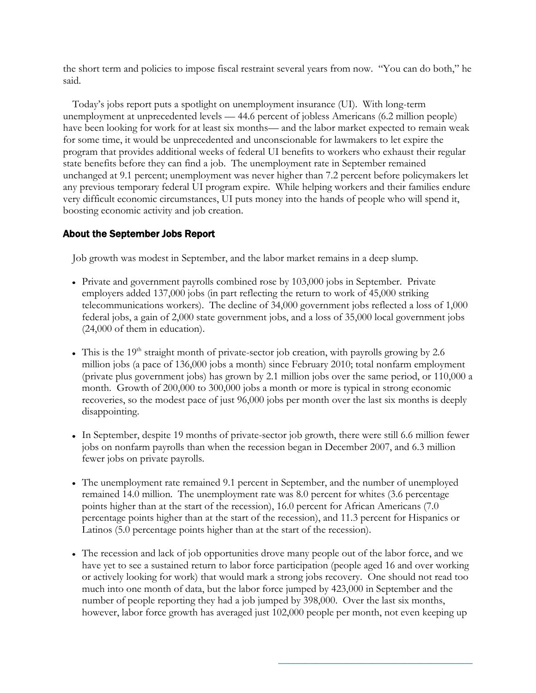the short term and policies to impose fiscal restraint several years from now. "You can do both," he said.

Today's jobs report puts a spotlight on unemployment insurance (UI). With long-term unemployment at unprecedented levels — 44.6 percent of jobless Americans (6.2 million people) have been looking for work for at least six months— and the labor market expected to remain weak for some time, it would be unprecedented and unconscionable for lawmakers to let expire the program that provides additional weeks of federal UI benefits to workers who exhaust their regular state benefits before they can find a job. The unemployment rate in September remained unchanged at 9.1 percent; unemployment was never higher than 7.2 percent before policymakers let any previous temporary federal UI program expire. While helping workers and their families endure very difficult economic circumstances, UI puts money into the hands of people who will spend it, boosting economic activity and job creation.

## About the September Jobs Report

Job growth was modest in September, and the labor market remains in a deep slump.

- Private and government payrolls combined rose by 103,000 jobs in September. Private employers added 137,000 jobs (in part reflecting the return to work of 45,000 striking telecommunications workers). The decline of 34,000 government jobs reflected a loss of 1,000 federal jobs, a gain of 2,000 state government jobs, and a loss of 35,000 local government jobs (24,000 of them in education).
- This is the 19<sup>th</sup> straight month of private-sector job creation, with payrolls growing by 2.6 million jobs (a pace of 136,000 jobs a month) since February 2010; total nonfarm employment (private plus government jobs) has grown by 2.1 million jobs over the same period, or 110,000 a month. Growth of 200,000 to 300,000 jobs a month or more is typical in strong economic recoveries, so the modest pace of just 96,000 jobs per month over the last six months is deeply disappointing.
- In September, despite 19 months of private-sector job growth, there were still 6.6 million fewer jobs on nonfarm payrolls than when the recession began in December 2007, and 6.3 million fewer jobs on private payrolls.
- The unemployment rate remained 9.1 percent in September, and the number of unemployed remained 14.0 million. The unemployment rate was 8.0 percent for whites (3.6 percentage points higher than at the start of the recession), 16.0 percent for African Americans (7.0 percentage points higher than at the start of the recession), and 11.3 percent for Hispanics or Latinos (5.0 percentage points higher than at the start of the recession).
- The recession and lack of job opportunities drove many people out of the labor force, and we have yet to see a sustained return to labor force participation (people aged 16 and over working or actively looking for work) that would mark a strong jobs recovery. One should not read too much into one month of data, but the labor force jumped by 423,000 in September and the number of people reporting they had a job jumped by 398,000. Over the last six months, however, labor force growth has averaged just 102,000 people per month, not even keeping up

**\_\_\_\_\_\_\_\_\_\_\_\_\_\_\_\_\_\_\_\_\_\_\_\_\_\_\_\_\_\_\_\_\_\_\_\_\_**